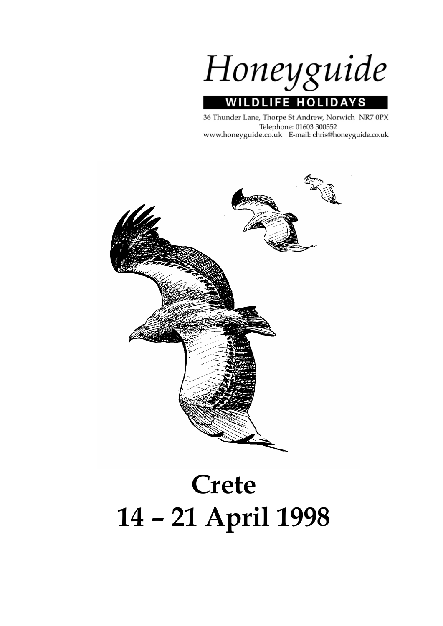Honeyguide **WILDLIFE HOLIDAYS** 

36 Thunder Lane, Thorpe St Andrew, Norwich NR7 0PX Telephone: 01603 300552 www.honeyguide.co.uk E-mail: chris@honeyguide.co.uk



# **Crete 14 – 21 April 1998**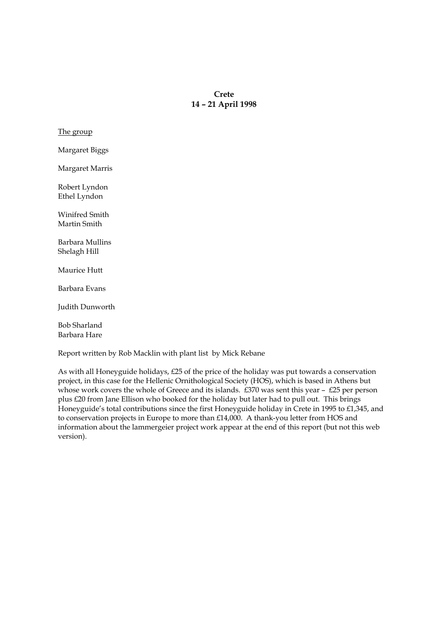# **Crete 14 – 21 April 1998**

The group

Margaret Biggs

Margaret Marris

Robert Lyndon Ethel Lyndon

Winifred Smith Martin Smith

Barbara Mullins Shelagh Hill

Maurice Hutt

Barbara Evans

Judith Dunworth

Bob Sharland Barbara Hare

Report written by Rob Macklin with plant list by Mick Rebane

As with all Honeyguide holidays, £25 of the price of the holiday was put towards a conservation project, in this case for the Hellenic Ornithological Society (HOS), which is based in Athens but whose work covers the whole of Greece and its islands. £370 was sent this year – £25 per person plus £20 from Jane Ellison who booked for the holiday but later had to pull out. This brings Honeyguide's total contributions since the first Honeyguide holiday in Crete in 1995 to £1,345, and to conservation projects in Europe to more than £14,000. A thank-you letter from HOS and information about the lammergeier project work appear at the end of this report (but not this web version).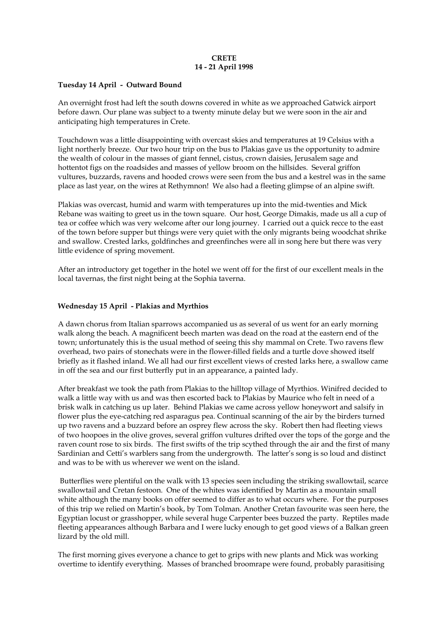# **CRETE 14 - 21 April 1998**

## **Tuesday 14 April - Outward Bound**

An overnight frost had left the south downs covered in white as we approached Gatwick airport before dawn. Our plane was subject to a twenty minute delay but we were soon in the air and anticipating high temperatures in Crete.

Touchdown was a little disappointing with overcast skies and temperatures at 19 Celsius with a light northerly breeze. Our two hour trip on the bus to Plakias gave us the opportunity to admire the wealth of colour in the masses of giant fennel, cistus, crown daisies, Jerusalem sage and hottentot figs on the roadsides and masses of yellow broom on the hillsides. Several griffon vultures, buzzards, ravens and hooded crows were seen from the bus and a kestrel was in the same place as last year, on the wires at Rethymnon! We also had a fleeting glimpse of an alpine swift.

Plakias was overcast, humid and warm with temperatures up into the mid-twenties and Mick Rebane was waiting to greet us in the town square. Our host, George Dimakis, made us all a cup of tea or coffee which was very welcome after our long journey. I carried out a quick recce to the east of the town before supper but things were very quiet with the only migrants being woodchat shrike and swallow. Crested larks, goldfinches and greenfinches were all in song here but there was very little evidence of spring movement.

After an introductory get together in the hotel we went off for the first of our excellent meals in the local tavernas, the first night being at the Sophia taverna.

# **Wednesday 15 April - Plakias and Myrthios**

A dawn chorus from Italian sparrows accompanied us as several of us went for an early morning walk along the beach. A magnificent beech marten was dead on the road at the eastern end of the town; unfortunately this is the usual method of seeing this shy mammal on Crete. Two ravens flew overhead, two pairs of stonechats were in the flower-filled fields and a turtle dove showed itself briefly as it flashed inland. We all had our first excellent views of crested larks here, a swallow came in off the sea and our first butterfly put in an appearance, a painted lady.

After breakfast we took the path from Plakias to the hilltop village of Myrthios. Winifred decided to walk a little way with us and was then escorted back to Plakias by Maurice who felt in need of a brisk walk in catching us up later. Behind Plakias we came across yellow honeywort and salsify in flower plus the eye-catching red asparagus pea. Continual scanning of the air by the birders turned up two ravens and a buzzard before an osprey flew across the sky. Robert then had fleeting views of two hoopoes in the olive groves, several griffon vultures drifted over the tops of the gorge and the raven count rose to six birds. The first swifts of the trip scythed through the air and the first of many Sardinian and Cetti's warblers sang from the undergrowth. The latter's song is so loud and distinct and was to be with us wherever we went on the island.

 Butterflies were plentiful on the walk with 13 species seen including the striking swallowtail, scarce swallowtail and Cretan festoon. One of the whites was identified by Martin as a mountain small white although the many books on offer seemed to differ as to what occurs where. For the purposes of this trip we relied on Martin's book, by Tom Tolman. Another Cretan favourite was seen here, the Egyptian locust or grasshopper, while several huge Carpenter bees buzzed the party. Reptiles made fleeting appearances although Barbara and I were lucky enough to get good views of a Balkan green lizard by the old mill.

The first morning gives everyone a chance to get to grips with new plants and Mick was working overtime to identify everything. Masses of branched broomrape were found, probably parasitising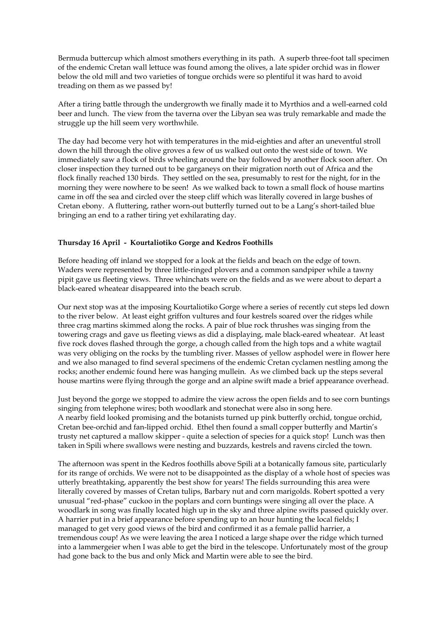Bermuda buttercup which almost smothers everything in its path. A superb three-foot tall specimen of the endemic Cretan wall lettuce was found among the olives, a late spider orchid was in flower below the old mill and two varieties of tongue orchids were so plentiful it was hard to avoid treading on them as we passed by!

After a tiring battle through the undergrowth we finally made it to Myrthios and a well-earned cold beer and lunch. The view from the taverna over the Libyan sea was truly remarkable and made the struggle up the hill seem very worthwhile.

The day had become very hot with temperatures in the mid-eighties and after an uneventful stroll down the hill through the olive groves a few of us walked out onto the west side of town. We immediately saw a flock of birds wheeling around the bay followed by another flock soon after. On closer inspection they turned out to be garganeys on their migration north out of Africa and the flock finally reached 130 birds. They settled on the sea, presumably to rest for the night, for in the morning they were nowhere to be seen! As we walked back to town a small flock of house martins came in off the sea and circled over the steep cliff which was literally covered in large bushes of Cretan ebony. A fluttering, rather worn-out butterfly turned out to be a Lang's short-tailed blue bringing an end to a rather tiring yet exhilarating day.

# **Thursday 16 April - Kourtaliotiko Gorge and Kedros Foothills**

Before heading off inland we stopped for a look at the fields and beach on the edge of town. Waders were represented by three little-ringed plovers and a common sandpiper while a tawny pipit gave us fleeting views. Three whinchats were on the fields and as we were about to depart a black-eared wheatear disappeared into the beach scrub.

Our next stop was at the imposing Kourtaliotiko Gorge where a series of recently cut steps led down to the river below. At least eight griffon vultures and four kestrels soared over the ridges while three crag martins skimmed along the rocks. A pair of blue rock thrushes was singing from the towering crags and gave us fleeting views as did a displaying, male black-eared wheatear. At least five rock doves flashed through the gorge, a chough called from the high tops and a white wagtail was very obliging on the rocks by the tumbling river. Masses of yellow asphodel were in flower here and we also managed to find several specimens of the endemic Cretan cyclamen nestling among the rocks; another endemic found here was hanging mullein. As we climbed back up the steps several house martins were flying through the gorge and an alpine swift made a brief appearance overhead.

Just beyond the gorge we stopped to admire the view across the open fields and to see corn buntings singing from telephone wires; both woodlark and stonechat were also in song here. A nearby field looked promising and the botanists turned up pink butterfly orchid, tongue orchid, Cretan bee-orchid and fan-lipped orchid. Ethel then found a small copper butterfly and Martin's trusty net captured a mallow skipper - quite a selection of species for a quick stop! Lunch was then taken in Spili where swallows were nesting and buzzards, kestrels and ravens circled the town.

The afternoon was spent in the Kedros foothills above Spili at a botanically famous site, particularly for its range of orchids. We were not to be disappointed as the display of a whole host of species was utterly breathtaking, apparently the best show for years! The fields surrounding this area were literally covered by masses of Cretan tulips, Barbary nut and corn marigolds. Robert spotted a very unusual "red-phase" cuckoo in the poplars and corn buntings were singing all over the place. A woodlark in song was finally located high up in the sky and three alpine swifts passed quickly over. A harrier put in a brief appearance before spending up to an hour hunting the local fields; I managed to get very good views of the bird and confirmed it as a female pallid harrier, a tremendous coup! As we were leaving the area I noticed a large shape over the ridge which turned into a lammergeier when I was able to get the bird in the telescope. Unfortunately most of the group had gone back to the bus and only Mick and Martin were able to see the bird.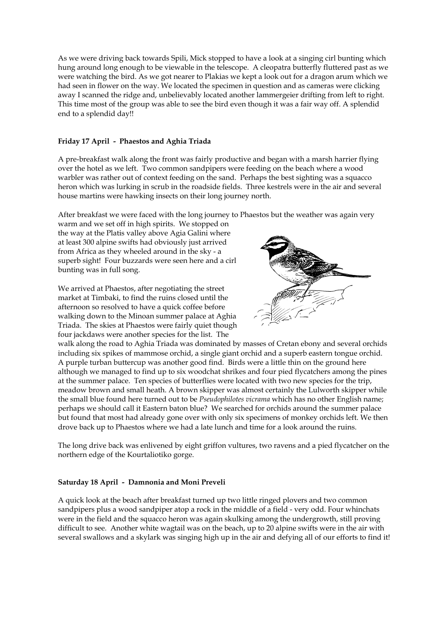As we were driving back towards Spili, Mick stopped to have a look at a singing cirl bunting which hung around long enough to be viewable in the telescope. A cleopatra butterfly fluttered past as we were watching the bird. As we got nearer to Plakias we kept a look out for a dragon arum which we had seen in flower on the way. We located the specimen in question and as cameras were clicking away I scanned the ridge and, unbelievably located another lammergeier drifting from left to right. This time most of the group was able to see the bird even though it was a fair way off. A splendid end to a splendid day!!

# **Friday 17 April - Phaestos and Aghia Triada**

A pre-breakfast walk along the front was fairly productive and began with a marsh harrier flying over the hotel as we left. Two common sandpipers were feeding on the beach where a wood warbler was rather out of context feeding on the sand. Perhaps the best sighting was a squacco heron which was lurking in scrub in the roadside fields. Three kestrels were in the air and several house martins were hawking insects on their long journey north.

After breakfast we were faced with the long journey to Phaestos but the weather was again very

warm and we set off in high spirits. We stopped on the way at the Platis valley above Agia Galini where at least 300 alpine swifts had obviously just arrived from Africa as they wheeled around in the sky - a superb sight! Four buzzards were seen here and a cirl bunting was in full song.

We arrived at Phaestos, after negotiating the street market at Timbaki, to find the ruins closed until the afternoon so resolved to have a quick coffee before walking down to the Minoan summer palace at Aghia Triada. The skies at Phaestos were fairly quiet though four jackdaws were another species for the list. The



walk along the road to Aghia Triada was dominated by masses of Cretan ebony and several orchids including six spikes of mammose orchid, a single giant orchid and a superb eastern tongue orchid. A purple turban buttercup was another good find. Birds were a little thin on the ground here although we managed to find up to six woodchat shrikes and four pied flycatchers among the pines at the summer palace. Ten species of butterflies were located with two new species for the trip, meadow brown and small heath. A brown skipper was almost certainly the Lulworth skipper while the small blue found here turned out to be *Pseudophilotes vicrama* which has no other English name; perhaps we should call it Eastern baton blue? We searched for orchids around the summer palace but found that most had already gone over with only six specimens of monkey orchids left. We then drove back up to Phaestos where we had a late lunch and time for a look around the ruins.

The long drive back was enlivened by eight griffon vultures, two ravens and a pied flycatcher on the northern edge of the Kourtaliotiko gorge.

# **Saturday 18 April - Damnonia and Moni Preveli**

A quick look at the beach after breakfast turned up two little ringed plovers and two common sandpipers plus a wood sandpiper atop a rock in the middle of a field - very odd. Four whinchats were in the field and the squacco heron was again skulking among the undergrowth, still proving difficult to see. Another white wagtail was on the beach, up to 20 alpine swifts were in the air with several swallows and a skylark was singing high up in the air and defying all of our efforts to find it!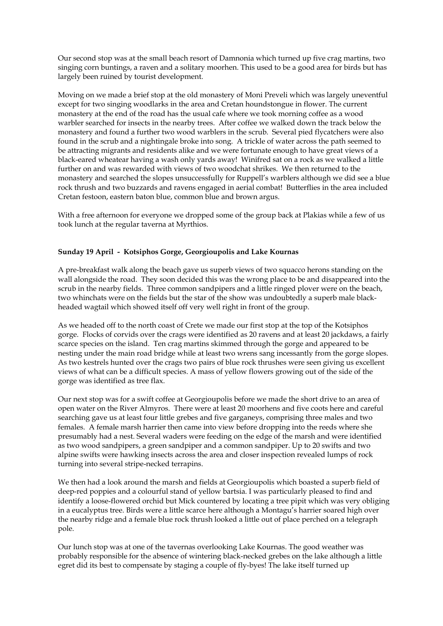Our second stop was at the small beach resort of Damnonia which turned up five crag martins, two singing corn buntings, a raven and a solitary moorhen. This used to be a good area for birds but has largely been ruined by tourist development.

Moving on we made a brief stop at the old monastery of Moni Preveli which was largely uneventful except for two singing woodlarks in the area and Cretan houndstongue in flower. The current monastery at the end of the road has the usual cafe where we took morning coffee as a wood warbler searched for insects in the nearby trees. After coffee we walked down the track below the monastery and found a further two wood warblers in the scrub. Several pied flycatchers were also found in the scrub and a nightingale broke into song. A trickle of water across the path seemed to be attracting migrants and residents alike and we were fortunate enough to have great views of a black-eared wheatear having a wash only yards away! Winifred sat on a rock as we walked a little further on and was rewarded with views of two woodchat shrikes. We then returned to the monastery and searched the slopes unsuccessfully for Ruppell's warblers although we did see a blue rock thrush and two buzzards and ravens engaged in aerial combat! Butterflies in the area included Cretan festoon, eastern baton blue, common blue and brown argus.

With a free afternoon for everyone we dropped some of the group back at Plakias while a few of us took lunch at the regular taverna at Myrthios.

# **Sunday 19 April - Kotsiphos Gorge, Georgioupolis and Lake Kournas**

A pre-breakfast walk along the beach gave us superb views of two squacco herons standing on the wall alongside the road. They soon decided this was the wrong place to be and disappeared into the scrub in the nearby fields. Three common sandpipers and a little ringed plover were on the beach, two whinchats were on the fields but the star of the show was undoubtedly a superb male blackheaded wagtail which showed itself off very well right in front of the group.

As we headed off to the north coast of Crete we made our first stop at the top of the Kotsiphos gorge. Flocks of corvids over the crags were identified as 20 ravens and at least 20 jackdaws, a fairly scarce species on the island. Ten crag martins skimmed through the gorge and appeared to be nesting under the main road bridge while at least two wrens sang incessantly from the gorge slopes. As two kestrels hunted over the crags two pairs of blue rock thrushes were seen giving us excellent views of what can be a difficult species. A mass of yellow flowers growing out of the side of the gorge was identified as tree flax.

Our next stop was for a swift coffee at Georgioupolis before we made the short drive to an area of open water on the River Almyros. There were at least 20 moorhens and five coots here and careful searching gave us at least four little grebes and five garganeys, comprising three males and two females. A female marsh harrier then came into view before dropping into the reeds where she presumably had a nest. Several waders were feeding on the edge of the marsh and were identified as two wood sandpipers, a green sandpiper and a common sandpiper. Up to 20 swifts and two alpine swifts were hawking insects across the area and closer inspection revealed lumps of rock turning into several stripe-necked terrapins.

We then had a look around the marsh and fields at Georgioupolis which boasted a superb field of deep-red poppies and a colourful stand of yellow bartsia. I was particularly pleased to find and identify a loose-flowered orchid but Mick countered by locating a tree pipit which was very obliging in a eucalyptus tree. Birds were a little scarce here although a Montagu's harrier soared high over the nearby ridge and a female blue rock thrush looked a little out of place perched on a telegraph pole.

Our lunch stop was at one of the tavernas overlooking Lake Kournas. The good weather was probably responsible for the absence of wintering black-necked grebes on the lake although a little egret did its best to compensate by staging a couple of fly-byes! The lake itself turned up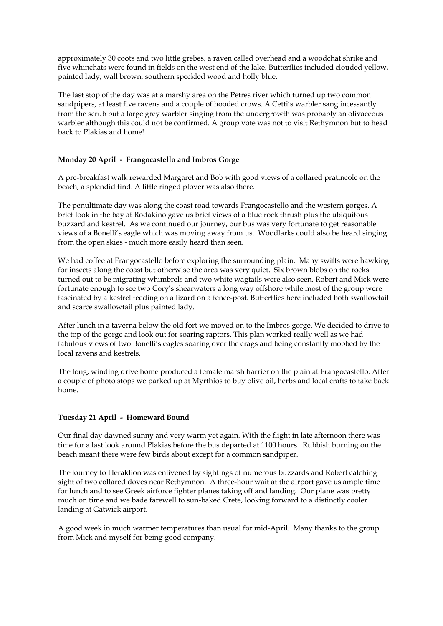approximately 30 coots and two little grebes, a raven called overhead and a woodchat shrike and five whinchats were found in fields on the west end of the lake. Butterflies included clouded yellow, painted lady, wall brown, southern speckled wood and holly blue.

The last stop of the day was at a marshy area on the Petres river which turned up two common sandpipers, at least five ravens and a couple of hooded crows. A Cetti's warbler sang incessantly from the scrub but a large grey warbler singing from the undergrowth was probably an olivaceous warbler although this could not be confirmed. A group vote was not to visit Rethymnon but to head back to Plakias and home!

# **Monday 20 April - Frangocastello and Imbros Gorge**

A pre-breakfast walk rewarded Margaret and Bob with good views of a collared pratincole on the beach, a splendid find. A little ringed plover was also there.

The penultimate day was along the coast road towards Frangocastello and the western gorges. A brief look in the bay at Rodakino gave us brief views of a blue rock thrush plus the ubiquitous buzzard and kestrel. As we continued our journey, our bus was very fortunate to get reasonable views of a Bonelli's eagle which was moving away from us. Woodlarks could also be heard singing from the open skies - much more easily heard than seen.

We had coffee at Frangocastello before exploring the surrounding plain. Many swifts were hawking for insects along the coast but otherwise the area was very quiet. Six brown blobs on the rocks turned out to be migrating whimbrels and two white wagtails were also seen. Robert and Mick were fortunate enough to see two Cory's shearwaters a long way offshore while most of the group were fascinated by a kestrel feeding on a lizard on a fence-post. Butterflies here included both swallowtail and scarce swallowtail plus painted lady.

After lunch in a taverna below the old fort we moved on to the Imbros gorge. We decided to drive to the top of the gorge and look out for soaring raptors. This plan worked really well as we had fabulous views of two Bonelli's eagles soaring over the crags and being constantly mobbed by the local ravens and kestrels.

The long, winding drive home produced a female marsh harrier on the plain at Frangocastello. After a couple of photo stops we parked up at Myrthios to buy olive oil, herbs and local crafts to take back home.

# **Tuesday 21 April - Homeward Bound**

Our final day dawned sunny and very warm yet again. With the flight in late afternoon there was time for a last look around Plakias before the bus departed at 1100 hours. Rubbish burning on the beach meant there were few birds about except for a common sandpiper.

The journey to Heraklion was enlivened by sightings of numerous buzzards and Robert catching sight of two collared doves near Rethymnon. A three-hour wait at the airport gave us ample time for lunch and to see Greek airforce fighter planes taking off and landing. Our plane was pretty much on time and we bade farewell to sun-baked Crete, looking forward to a distinctly cooler landing at Gatwick airport.

A good week in much warmer temperatures than usual for mid-April. Many thanks to the group from Mick and myself for being good company.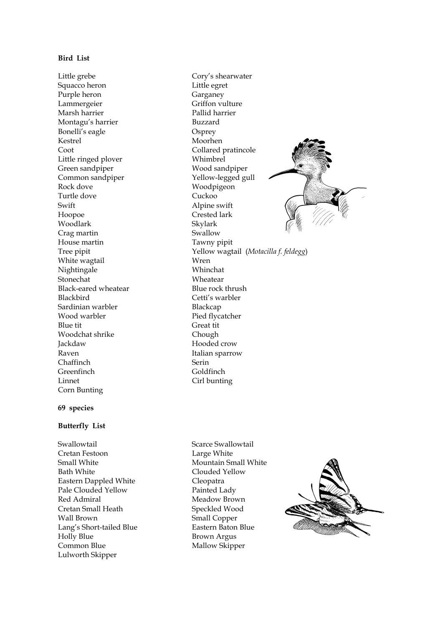# **Bird List**

Little grebe Cory's shearwater Squacco heron Little egret Purple heron Garganey Lammergeier Griffon vulture Marsh harrier Pallid harrier Montagu's harrier Buzzard Bonelli's eagle Osprey Kestrel Moorhen Coot Collared pratincole Little ringed plover Whimbrel Green sandpiper Wood sandpiper Common sandpiper Yellow-legged gull Rock dove Woodpigeon Turtle dove Cuckoo Swift Alpine swift Hoopoe Crested lark Woodlark Skylark Crag martin Swallow House martin Tawny pipit White wagtail **Wren** Nightingale Whinchat Stonechat Wheatear Black-eared wheatear Blue rock thrush Blackbird Cetti's warbler Sardinian warbler Blackcap Wood warbler Pied flycatcher Blue tit Great tit Woodchat shrike Chough Jackdaw Hooded crow Raven **Italian** sparrow Chaffinch Serin Greenfinch Goldfinch Linnet Cirl bunting Corn Bunting

## **69 species**

#### **Butterfly List**

Swallowtail Swallowtail Scarce Swallowtail Cretan Festoon Large White Small White Mountain Small White Bath White Clouded Yellow Eastern Dappled White Cleopatra Pale Clouded Yellow Painted Lady Red Admiral Meadow Brown Cretan Small Heath Speckled Wood Wall Brown Small Copper Lang's Short-tailed Blue Eastern Baton Blue Holly Blue Brown Argus Common Blue Mallow Skipper Lulworth Skipper

Tree pipit Yellow wagtail (*Motacilla f. feldegg*)



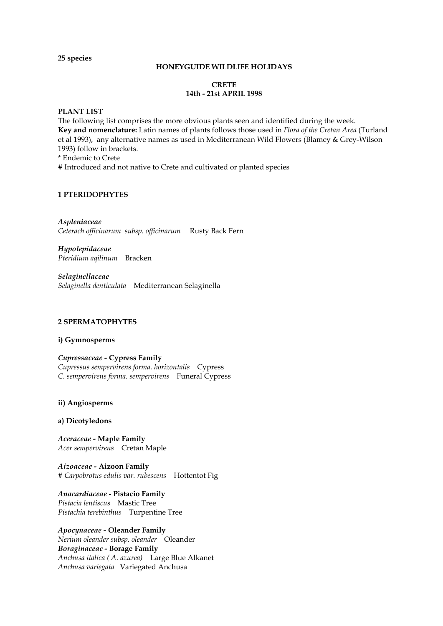**25 species** 

#### **HONEYGUIDE WILDLIFE HOLIDAYS**

# **CRETE 14th - 21st APRIL 1998**

#### **PLANT LIST**

The following list comprises the more obvious plants seen and identified during the week. **Key and nomenclature:** Latin names of plants follows those used in *Flora of the Cretan Area* (Turland et al 1993), any alternative names as used in Mediterranean Wild Flowers (Blamey & Grey-Wilson 1993) follow in brackets.

\* Endemic to Crete

# Introduced and not native to Crete and cultivated or planted species

# **1 PTERIDOPHYTES**

*Aspleniaceae Ceterach officinarum subsp. officinarum* Rusty Back Fern

*Hypolepidaceae Pteridium aqilinum* Bracken

*Selaginellaceae Selaginella denticulata* Mediterranean Selaginella

# **2 SPERMATOPHYTES**

# **i) Gymnosperms**

*Cupressaceae -* **Cypress Family**  *Cupressus sempervirens forma. horizontalis* Cypress *C. sempervirens forma. sempervirens* Funeral Cypress

# **ii) Angiosperms**

#### **a) Dicotyledons**

*Aceraceae -* **Maple Family**  *Acer sempervirens* Cretan Maple

*Aizoaceae -* **Aizoon Family**  *# Carpobrotus edulis var. rubescens* Hottentot Fig

*Anacardiaceae* **- Pistacio Family** *Pistacia lentiscus* Mastic Tree *Pistachia terebinthus* Turpentine Tree

# *Apocynaceae -* **Oleander Family**

*Nerium oleander subsp. oleander* Oleander *Boraginaceae* **- Borage Family**  *Anchusa italica ( A. azurea)* Large Blue Alkanet *Anchusa variegata* Variegated Anchusa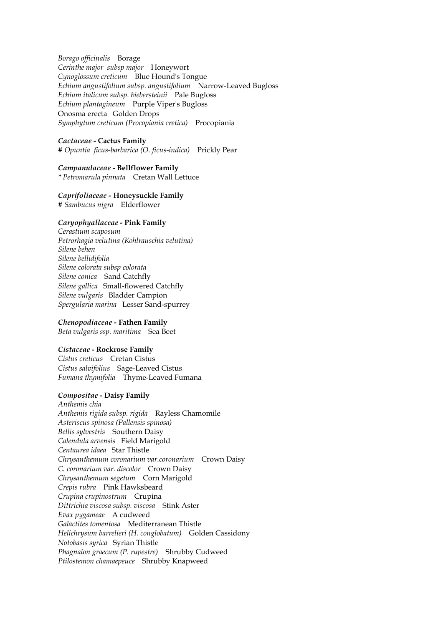*Borago officinalis* Borage *Cerinthe major subsp major* Honeywort *Cynoglossum creticum* Blue Hound's Tongue *Echium angustifolium subsp. angustifolium* Narrow-Leaved Bugloss *Echium italicum subsp. biebersteinii* Pale Bugloss *Echium plantagineum* Purple Viper's Bugloss Onosma erecta Golden Drops *Symphytum creticum (Procopiania cretica)* Procopiania

#### *Cactaceae* **- Cactus Family**

*# Opuntia ficus-barbarica (O. ficus-indica)* Prickly Pear

#### *Campanulaceae* **- Bellflower Family**

*\* Petromarula pinnata* Cretan Wall Lettuce

# *Caprifoliaceae -* **Honeysuckle Family**

*# Sambucus nigra* Elderflower

#### *Caryophyallaceae* **- Pink Family**

*Cerastium scaposum Petrorhagia velutina (Kohlrauschia velutina) Silene behen Silene bellidifolia Silene colorata subsp colorata Silene conica* Sand Catchfly *Silene gallica* Small-flowered Catchfly *Silene vulgaris* Bladder Campion *Spergularia marina* Lesser Sand-spurrey

#### *Chenopodiaceae -* **Fathen Family**

*Beta vulgaris ssp. maritima* Sea Beet

#### *Cistaceae* **- Rockrose Family**

*Cistus creticus* Cretan Cistus *Cistus salvifolius* Sage-Leaved Cistus *Fumana thymifolia* Thyme-Leaved Fumana

# *Compositae* **- Daisy Family**

*Anthemis chia Anthemis rigida subsp. rigida* Rayless Chamomile *Asteriscus spinosa (Pallensis spinosa) Bellis sylvestris* Southern Daisy *Calendula arvensis* Field Marigold *Centaurea idaea* Star Thistle *Chrysanthemum coronarium var.coronarium* Crown Daisy *C. coronarium var. discolor* Crown Daisy *Chrysanthemum segetum* Corn Marigold *Crepis rubra* Pink Hawksbeard *Crupina crupinostrum* Crupina *Dittrichia viscosa subsp. viscosa* Stink Aster *Evax pygameae* A cudweed *Galactites tomentosa* Mediterranean Thistle *Helichrysum barrelieri (H. conglobatum)* Golden Cassidony *Notobasis syrica* Syrian Thistle *Phagnalon graecum (P. rupestre)* Shrubby Cudweed *Ptilostemon chamaepeuce* Shrubby Knapweed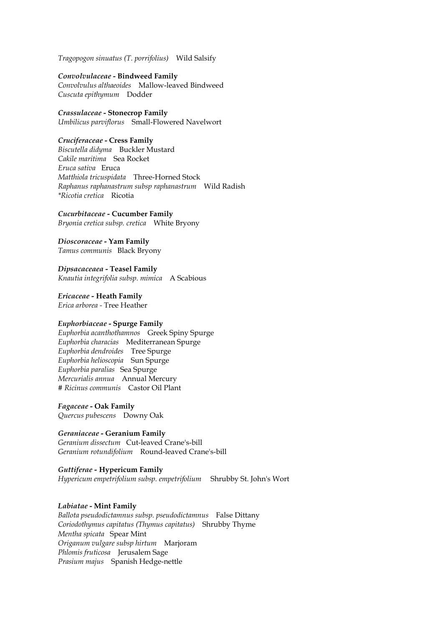*Tragopogon sinuatus (T. porrifolius)* Wild Salsify

#### *Convolvulaceae* **- Bindweed Family**

*Convolvulus althaeoides* Mallow-leaved Bindweed *Cuscuta epithymum* Dodder

#### *Crassulaceae* **- Stonecrop Family** *Umbilicus parviflorus* Small-Flowered Navelwort

#### *Cruciferaceae* **- Cress Family**

*Biscutella didyma* Buckler Mustard *Cakile maritima* Sea Rocket *Eruca sativa* Eruca *Matthiola tricuspidata* Three-Horned Stock *Raphanus raphanastrum subsp raphanastrum* Wild Radish *\*Ricotia cretica* Ricotia

# *Cucurbitaceae -* **Cucumber Family**

*Bryonia cretica subsp. cretica* White Bryony

#### *Dioscoraceae* **- Yam Family**  *Tamus communis* Black Bryony

*Dipsacaceaea* **- Teasel Family** *Knautia integrifolia subsp. mimica* A Scabious

*Ericaceae -* **Heath Family**  *Erica arborea -* Tree Heather

# *Euphorbiaceae* **- Spurge Family**

*Euphorbia acanthothamnos* Greek Spiny Spurge *Euphorbia characias* Mediterranean Spurge *Euphorbia dendroides* Tree Spurge *Euphorbia helioscopia* Sun Spurge *Euphorbia paralias* Sea Spurge *Mercurialis annua* Annual Mercury *# Ricinus communis* Castor Oil Plant

#### *Fagaceae* **- Oak Family**

*Quercus pubescens* Downy Oak

#### *Geraniaceae* **- Geranium Family**  *Geranium dissectum* Cut-leaved Crane's-bill *Geranium rotundifolium* Round-leaved Crane's-bill

# *Guttiferae -* **Hypericum Family**  *Hypericum empetrifolium subsp. empetrifolium* Shrubby St. John's Wort

#### *Labiatae* **- Mint Family**

*Ballota pseudodictamnus subsp. pseudodictamnus* False Dittany *Coriodothymus capitatus (Thymus capitatus)* Shrubby Thyme *Mentha spicata* Spear Mint *Origanum vulgare subsp hirtum* Marjoram *Phlomis fruticosa* Jerusalem Sage *Prasium majus* Spanish Hedge-nettle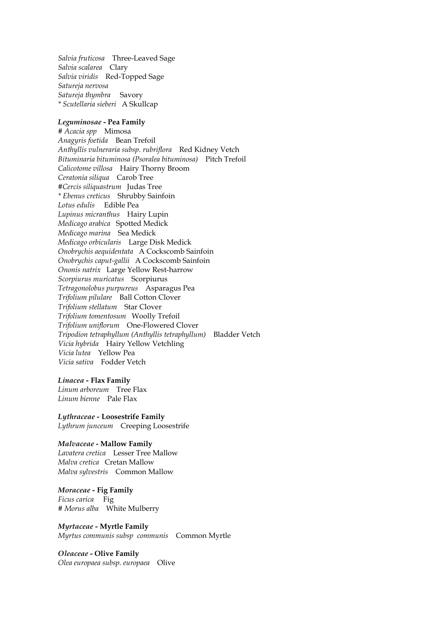*Salvia fruticosa* Three-Leaved Sage *Salvia scalarea* Clary *Salvia viridis* Red-Topped Sage *Satureja nervosa Satureja thymbra* Savory *\* Scutellaria sieberi* A Skullcap

#### *Leguminosae* **- Pea Family**

*# Acacia spp* Mimosa *Anagyris foetida* Bean Trefoil *Anthyllis vulneraria subsp. rubriflora* Red Kidney Vetch *Bituminaria bituminosa (Psoralea bituminosa)* Pitch Trefoil *Calicotome villosa* Hairy Thorny Broom *Ceratonia siliqua* Carob Tree *#Cercis siliquastrum* Judas Tree *\* Ebenus creticus* Shrubby Sainfoin *Lotus edulis* Edible Pea *Lupinus micranthus* Hairy Lupin *Medicago arabica* Spotted Medick *Medicago marina* Sea Medick *Medicago orbicularis* Large Disk Medick *Onobrychis aequidentata* A Cockscomb Sainfoin *Onobrychis caput-gallii* A Cockscomb Sainfoin *Ononis natrix* Large Yellow Rest-harrow *Scorpiurus muricatus* Scorpiurus *Tetragonolobus purpureus* Asparagus Pea *Trifolium pilulare* Ball Cotton Clover *Trifolium stellatum* Star Clover *Trifolium tomentosum* Woolly Trefoil *Trifolium uniflorum* One-Flowered Clover *Tripodion tetraphyllum (Anthyllis tetraphyllum)* Bladder Vetch *Vicia hybrida* Hairy Yellow Vetchling *Vicia lutea* Yellow Pea *Vicia sativa* Fodder Vetch

#### *Linacea -* **Flax Family**

*Linum arboreum* Tree Flax *Linum bienne* Pale Flax

*Lythraceae -* **Loosestrife Family**  *Lythrum junceum* Creeping Loosestrife

#### *Malvaceae* **- Mallow Family**

*Lavatera cretica* Lesser Tree Mallow *Malva cretica* Cretan Mallow *Malva sylvestris* Common Mallow

*Moraceae -* **Fig Family**  *Ficus carica* Fig *# Morus alba* White Mulberry

*Myrtaceae -* **Myrtle Family**  *Myrtus communis subsp communis* Common Myrtle

*Oleaceae* **- Olive Family** *Olea europaea subsp. europaea* Olive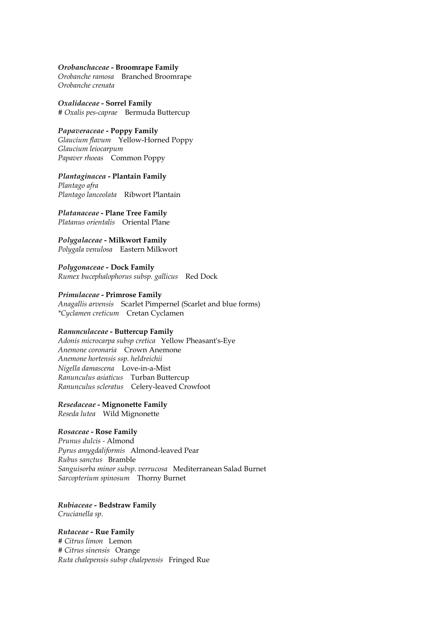#### *Orobanchaceae* **- Broomrape Family**

*Orobanche ramosa* Branched Broomrape *Orobanche crenata* 

*Oxalidaceae* **- Sorrel Family**  *# Oxalis pes-caprae* Bermuda Buttercup

#### *Papaveraceae -* **Poppy Family**

*Glaucium flavum* Yellow-Horned Poppy *Glaucium leiocarpum Papaver rhoeas* Common Poppy

*Plantaginacea* **- Plantain Family** 

*Plantago afra Plantago lanceolata* Ribwort Plantain

*Platanaceae* **- Plane Tree Family** *Platanus orientalis* Oriental Plane

*Polygalaceae* **- Milkwort Family** *Polygala venulosa* Eastern Milkwort

*Polygonaceae -* **Dock Family**  *Rumex bucephalophorus subsp. gallicus* Red Dock

# *Primulaceae* **- Primrose Family**

*Anagallis arvensis* Scarlet Pimpernel (Scarlet and blue forms) *\*Cyclamen creticum* Cretan Cyclamen

#### *Ranunculaceae* **- Buttercup Family**

*Adonis microcarpa subsp cretica* Yellow Pheasant's-Eye *Anemone coronaria* Crown Anemone *Anemone hortensis ssp. heldreichii Nigella damascena* Love-in-a-Mist *Ranunculus asiaticus* Turban Buttercup *Ranunculus scleratus* Celery-leaved Crowfoot

# *Resedaceae* **- Mignonette Family**

*Reseda lutea* Wild Mignonette

# *Rosaceae* **- Rose Family**

*Prunus dulcis -* Almond *Pyrus amygdaliformis* Almond-leaved Pear *Rubus sanctus* Bramble *Sanguisorba minor subsp. verrucosa* Mediterranean Salad Burnet *Sarcopterium spinosum* Thorny Burnet

*Rubiaceae -* **Bedstraw Family** 

*Crucianella sp.* 

*Rutaceae -* **Rue Family**  *# Citrus limon* Lemon *# Citrus sinensis* Orange *Ruta chalepensis subsp chalepensis* Fringed Rue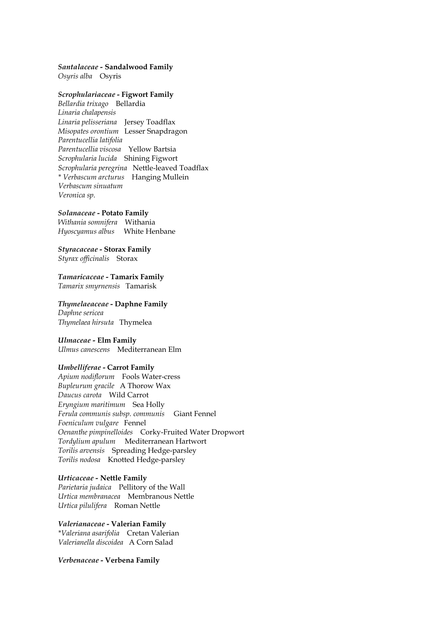#### *Santalaceae -* **Sandalwood Family**

*Osyris alba* Osyris

# *Scrophulariaceae* **- Figwort Family**

*Bellardia trixago* Bellardia *Linaria chalapensis Linaria pelisseriana* Jersey Toadflax *Misopates orontium* Lesser Snapdragon *Parentucellia latifolia Parentucellia viscosa* Yellow Bartsia *Scrophularia lucida* Shining Figwort *Scrophularia peregrina* Nettle-leaved Toadflax *\* Verbascum arcturus* Hanging Mullein *Verbascum sinuatum Veronica sp.*

#### *Solanaceae* **- Potato Family**

*Withania somnifera* Withania *Hyoscyamus albus* White Henbane

#### *Styracaceae* **- Storax Family**

*Styrax officinalis* Storax

*Tamaricaceae* **- Tamarix Family** *Tamarix smyrnensis* Tamarisk

#### *Thymelaeaceae* **- Daphne Family**

*Daphne sericea Thymelaea hirsuta* Thymelea

#### *Ulmaceae -* **Elm Family**

*Ulmus canescens* Mediterranean Elm

#### *Umbelliferae* **- Carrot Family**

*Apium nodiflorum* Fools Water-cress *Bupleurum gracile* A Thorow Wax *Daucus carota* Wild Carrot *Eryngium maritimum* Sea Holly *Ferula communis subsp. communis* Giant Fennel *Foeniculum vulgare* Fennel *Oenanthe pimpinelloides* Corky-Fruited Water Dropwort *Tordylium apulum* Mediterranean Hartwort *Torilis arvensis* Spreading Hedge-parsley *Torilis nodosa* Knotted Hedge-parsley

#### *Urticaceae -* **Nettle Family**

*Parietaria judaica* Pellitory of the Wall *Urtica membranacea* Membranous Nettle *Urtica pilulifera* Roman Nettle

# *Valerianaceae* **- Valerian Family**

*\*Valeriana asarifolia* Cretan Valerian *Valerianella discoidea* A Corn Salad

#### *Verbenaceae* **- Verbena Family**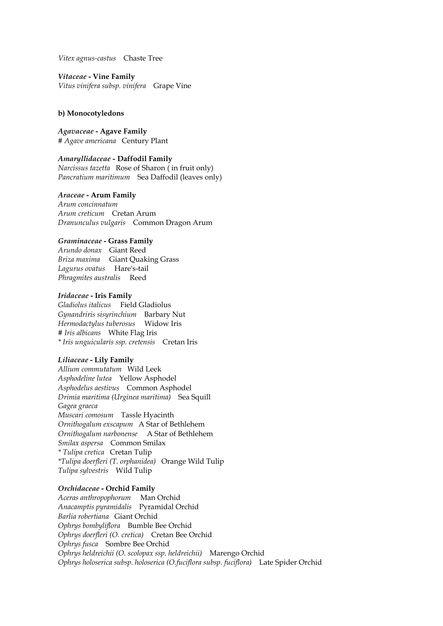*Vitex agnus-castus* Chaste Tree

*Vitaceae* **- Vine Family** *Vitus vinifera subsp. vinifera* Grape Vine

#### **b) Monocotyledons**

*Agavaceae* **- Agave Family** *# Agave americana* Century Plant

*Amaryllidaceae -* **Daffodil Family**  *Narcissus tazetta* Rose of Sharon ( in fruit only) *Pancratium maritimum* Sea Daffodil (leaves only)

# *Araceae* **- Arum Family**

*Arum concinnatum Arum creticum* Cretan Arum *Dranunculus vulgaris* Common Dragon Arum

#### *Graminaceae* **- Grass Family**

*Arundo donax* Giant Reed *Briza maxima* Giant Quaking Grass *Lagurus ovatus* Hare's-tail *Phragmites australis* Reed

#### *Iridaceae* **- Iris Family**

*Gladiolus italicus* Field Gladiolus *Gynandriris sisyrinchium* Barbary Nut *Hermodactylus tuberosus* Widow Iris *# Iris albicans* White Flag Iris *\* Iris unguicularis ssp. cretensis* Cretan Iris

#### *Liliaceae* **- Lily Family**

*Allium commutatum* Wild Leek *Asphodeline lutea* Yellow Asphodel *Asphodelus aestivus* Common Asphodel *Drimia maritima (Urginea maritima)* Sea Squill *Gagea graeca Muscari comosum* Tassle Hyacinth *Ornithogalum exscapum* A Star of Bethlehem *Ornithogalum narbonense* A Star of Bethlehem *Smilax aspersa* Common Smilax *\* Tulipa cretica* Cretan Tulip *\*Tulipa doerfleri (T. orphanidea)* Orange Wild Tulip *Tulipa sylvestris* Wild Tulip

#### *Orchidaceae* **- Orchid Family**

*Aceras anthropophorum* Man Orchid *Anacamptis pyramidalis* Pyramidal Orchid *Barlia robertiana* Giant Orchid *Ophrys bombyliflora* Bumble Bee Orchid *Ophrys doerfleri (O. cretica)* Cretan Bee Orchid *Ophrys fusca* Sombre Bee Orchid *Ophrys heldreichii (O. scolopax ssp. heldreichii)* Marengo Orchid *Ophrys holoserica subsp. holoserica (O.fuciflora subsp. fuciflora)* Late Spider Orchid